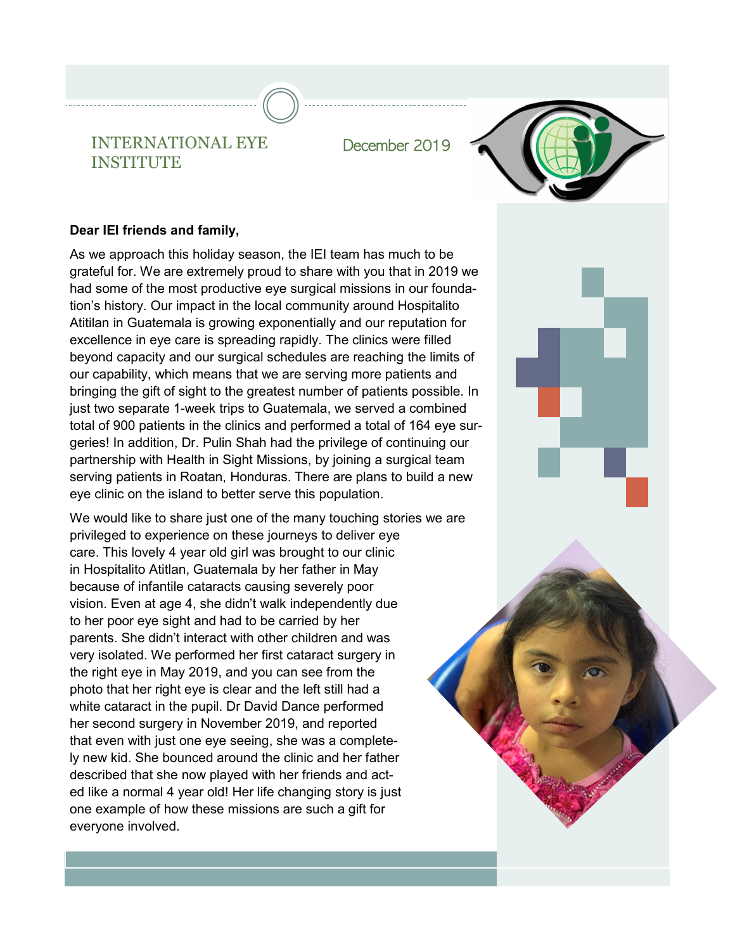INTERNATIONAL EYE December 2019 INSTITUTE



## **Dear IEI friends and family,**

As we approach this holiday season, the IEI team has much to be grateful for. We are extremely proud to share with you that in 2019 we had some of the most productive eye surgical missions in our foundation's history. Our impact in the local community around Hospitalito Atitilan in Guatemala is growing exponentially and our reputation for excellence in eye care is spreading rapidly. The clinics were filled beyond capacity and our surgical schedules are reaching the limits of our capability, which means that we are serving more patients and bringing the gift of sight to the greatest number of patients possible. In just two separate 1-week trips to Guatemala, we served a combined total of 900 patients in the clinics and performed a total of 164 eye surgeries! In addition, Dr. Pulin Shah had the privilege of continuing our partnership with Health in Sight Missions, by joining a surgical team serving patients in Roatan, Honduras. There are plans to build a new eye clinic on the island to better serve this population.

We would like to share just one of the many touching stories we are privileged to experience on these journeys to deliver eye care. This lovely 4 year old girl was brought to our clinic in Hospitalito Atitlan, Guatemala by her father in May because of infantile cataracts causing severely poor vision. Even at age 4, she didn't walk independently due to her poor eye sight and had to be carried by her parents. She didn't interact with other children and was very isolated. We performed her first cataract surgery in the right eye in May 2019, and you can see from the photo that her right eye is clear and the left still had a white cataract in the pupil. Dr David Dance performed her second surgery in November 2019, and reported that even with just one eye seeing, she was a completely new kid. She bounced around the clinic and her father described that she now played with her friends and acted like a normal 4 year old! Her life changing story is just one example of how these missions are such a gift for everyone involved.